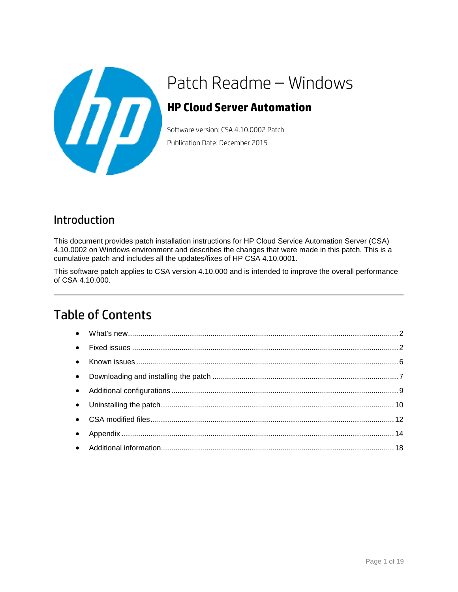

# Patch Readme – Windows

### **HP Cloud Server Automation**

Software version: CSA 4.10.0002 Patch Publication Date: December 2015

### Introduction

This document provides patch installation instructions for HP Cloud Service Automation Server (CSA) 4.10.0002 on Windows environment and describes the changes that were made in this patch. This is a cumulative patch and includes all the updates/fixes of HP CSA 4.10.0001.

This software patch applies to CSA version 4.10.000 and is intended to improve the overall performance of CSA 4.10.000.

### Table of Contents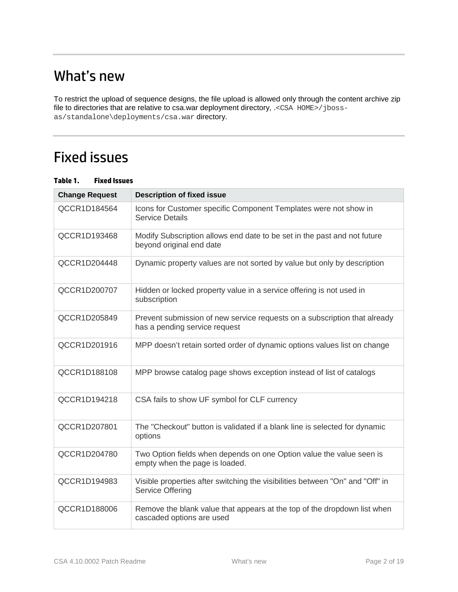## <span id="page-1-0"></span>What's new

To restrict the upload of sequence designs, the file upload is allowed only through the content archive zip file to directories that are relative to csa.war deployment directory, .<CSA HOME>/jbossas/standalone\deployments/csa.war directory.

## <span id="page-1-1"></span>Fixed issues

| <b>Change Request</b> | <b>Description of fixed issue</b>                                                                          |
|-----------------------|------------------------------------------------------------------------------------------------------------|
| QCCR1D184564          | Icons for Customer specific Component Templates were not show in<br><b>Service Details</b>                 |
| QCCR1D193468          | Modify Subscription allows end date to be set in the past and not future<br>beyond original end date       |
| QCCR1D204448          | Dynamic property values are not sorted by value but only by description                                    |
| QCCR1D200707          | Hidden or locked property value in a service offering is not used in<br>subscription                       |
| QCCR1D205849          | Prevent submission of new service requests on a subscription that already<br>has a pending service request |
| QCCR1D201916          | MPP doesn't retain sorted order of dynamic options values list on change                                   |
| QCCR1D188108          | MPP browse catalog page shows exception instead of list of catalogs                                        |
| QCCR1D194218          | CSA fails to show UF symbol for CLF currency                                                               |
| QCCR1D207801          | The "Checkout" button is validated if a blank line is selected for dynamic<br>options                      |
| QCCR1D204780          | Two Option fields when depends on one Option value the value seen is<br>empty when the page is loaded.     |
| QCCR1D194983          | Visible properties after switching the visibilities between "On" and "Off" in<br><b>Service Offering</b>   |
| QCCR1D188006          | Remove the blank value that appears at the top of the dropdown list when<br>cascaded options are used      |

#### **Table 1. Fixed Issues**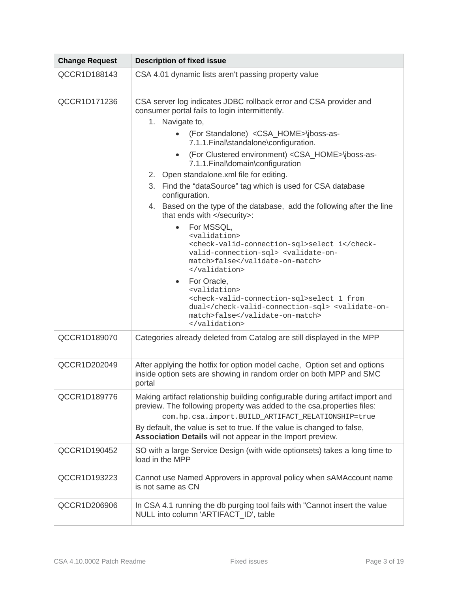| <b>Change Request</b> | <b>Description of fixed issue</b>                                                                                                                                    |  |  |  |  |  |  |
|-----------------------|----------------------------------------------------------------------------------------------------------------------------------------------------------------------|--|--|--|--|--|--|
| QCCR1D188143          | CSA 4.01 dynamic lists aren't passing property value                                                                                                                 |  |  |  |  |  |  |
| QCCR1D171236          | CSA server log indicates JDBC rollback error and CSA provider and<br>consumer portal fails to login intermittently.                                                  |  |  |  |  |  |  |
|                       | 1. Navigate to,                                                                                                                                                      |  |  |  |  |  |  |
|                       | (For Standalone) <csa_home>\jboss-as-<br/>7.1.1. Final\standalone\configuration.</csa_home>                                                                          |  |  |  |  |  |  |
|                       | (For Clustered environment) <csa_home>\jboss-as-<br/><math display="inline">\bullet</math><br/>7.1.1. Final\domain\configuration</csa_home>                          |  |  |  |  |  |  |
|                       | 2. Open standalone.xml file for editing.                                                                                                                             |  |  |  |  |  |  |
|                       | 3. Find the "dataSource" tag which is used for CSA database<br>configuration.                                                                                        |  |  |  |  |  |  |
|                       | 4. Based on the type of the database, add the following after the line<br>that ends with :                                                                           |  |  |  |  |  |  |
|                       | For MSSQL,<br>$\bullet$<br><validation></validation>                                                                                                                 |  |  |  |  |  |  |
|                       | <check-valid-connection-sql>select 1valid-connection-sql&gt; <validate-on-<br>match&gt;false<br/></validate-on-<br></check-valid-connection-sql>                     |  |  |  |  |  |  |
|                       | • For Oracle,                                                                                                                                                        |  |  |  |  |  |  |
|                       | <validation><br/><check-valid-connection-sql>select 1 from<br/>dual</check-valid-connection-sql> <validate-on-<br>match&gt;false<br/></validate-on-<br></validation> |  |  |  |  |  |  |
| QCCR1D189070          | Categories already deleted from Catalog are still displayed in the MPP                                                                                               |  |  |  |  |  |  |
| QCCR1D202049          | After applying the hotfix for option model cache, Option set and options<br>inside option sets are showing in random order on both MPP and SMC<br>portal             |  |  |  |  |  |  |
| QCCR1D189776          | Making artifact relationship building configurable during artifact import and<br>preview. The following property was added to the csa.properties files:              |  |  |  |  |  |  |
|                       | com.hp.csa.import.BUILD_ARTIFACT_RELATIONSHIP=true                                                                                                                   |  |  |  |  |  |  |
|                       | By default, the value is set to true. If the value is changed to false,<br>Association Details will not appear in the Import preview.                                |  |  |  |  |  |  |
| QCCR1D190452          | SO with a large Service Design (with wide optionsets) takes a long time to<br>load in the MPP                                                                        |  |  |  |  |  |  |
| QCCR1D193223          | Cannot use Named Approvers in approval policy when sAMAccount name<br>is not same as CN                                                                              |  |  |  |  |  |  |
| QCCR1D206906          | In CSA 4.1 running the db purging tool fails with "Cannot insert the value<br>NULL into column 'ARTIFACT_ID', table                                                  |  |  |  |  |  |  |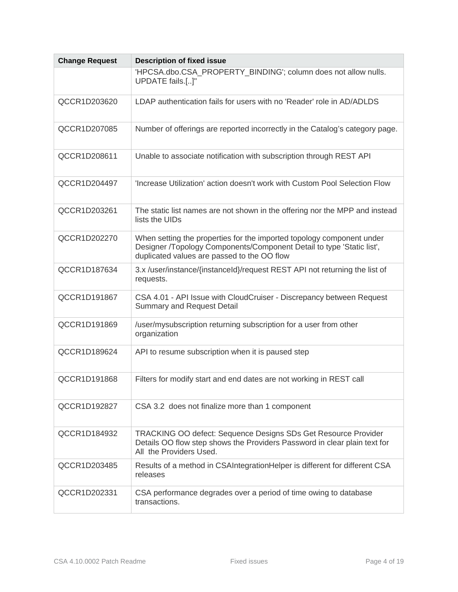| <b>Change Request</b> | <b>Description of fixed issue</b>                                                                                                                                                             |  |  |  |  |  |
|-----------------------|-----------------------------------------------------------------------------------------------------------------------------------------------------------------------------------------------|--|--|--|--|--|
|                       | 'HPCSA.dbo.CSA_PROPERTY_BINDING'; column does not allow nulls.<br>UPDATE fails.[]"                                                                                                            |  |  |  |  |  |
| QCCR1D203620          | LDAP authentication fails for users with no 'Reader' role in AD/ADLDS                                                                                                                         |  |  |  |  |  |
| QCCR1D207085          | Number of offerings are reported incorrectly in the Catalog's category page.                                                                                                                  |  |  |  |  |  |
| QCCR1D208611          | Unable to associate notification with subscription through REST API                                                                                                                           |  |  |  |  |  |
| QCCR1D204497          | 'Increase Utilization' action doesn't work with Custom Pool Selection Flow                                                                                                                    |  |  |  |  |  |
| QCCR1D203261          | The static list names are not shown in the offering nor the MPP and instead<br>lists the UIDs                                                                                                 |  |  |  |  |  |
| QCCR1D202270          | When setting the properties for the imported topology component under<br>Designer /Topology Components/Component Detail to type 'Static list',<br>duplicated values are passed to the OO flow |  |  |  |  |  |
| QCCR1D187634          | 3.x /user/instance/{instanceId}/request REST API not returning the list of<br>requests.                                                                                                       |  |  |  |  |  |
| QCCR1D191867          | CSA 4.01 - API Issue with CloudCruiser - Discrepancy between Request<br><b>Summary and Request Detail</b>                                                                                     |  |  |  |  |  |
| QCCR1D191869          | /user/mysubscription returning subscription for a user from other<br>organization                                                                                                             |  |  |  |  |  |
| QCCR1D189624          | API to resume subscription when it is paused step                                                                                                                                             |  |  |  |  |  |
| QCCR1D191868          | Filters for modify start and end dates are not working in REST call                                                                                                                           |  |  |  |  |  |
| QCCR1D192827          | CSA 3.2 does not finalize more than 1 component                                                                                                                                               |  |  |  |  |  |
| QCCR1D184932          | TRACKING OO defect: Sequence Designs SDs Get Resource Provider<br>Details OO flow step shows the Providers Password in clear plain text for<br>All the Providers Used.                        |  |  |  |  |  |
| QCCR1D203485          | Results of a method in CSAIntegrationHelper is different for different CSA<br>releases                                                                                                        |  |  |  |  |  |
| QCCR1D202331          | CSA performance degrades over a period of time owing to database<br>transactions.                                                                                                             |  |  |  |  |  |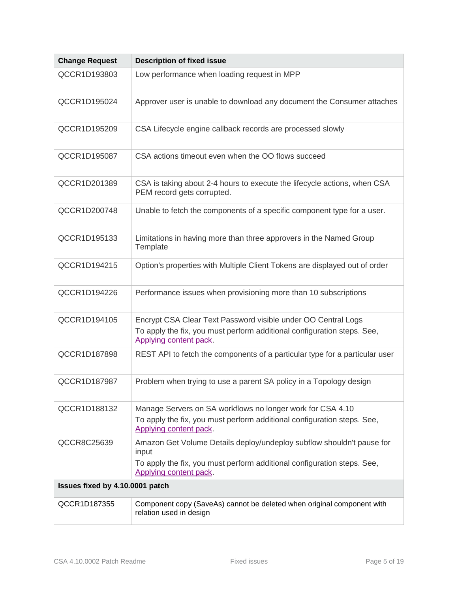| <b>Change Request</b>                                                                      | <b>Description of fixed issue</b>                                                                      |  |  |  |  |  |  |
|--------------------------------------------------------------------------------------------|--------------------------------------------------------------------------------------------------------|--|--|--|--|--|--|
| QCCR1D193803                                                                               | Low performance when loading request in MPP                                                            |  |  |  |  |  |  |
| QCCR1D195024                                                                               | Approver user is unable to download any document the Consumer attaches                                 |  |  |  |  |  |  |
| QCCR1D195209                                                                               | CSA Lifecycle engine callback records are processed slowly                                             |  |  |  |  |  |  |
| QCCR1D195087                                                                               | CSA actions timeout even when the OO flows succeed                                                     |  |  |  |  |  |  |
| QCCR1D201389                                                                               | CSA is taking about 2-4 hours to execute the lifecycle actions, when CSA<br>PEM record gets corrupted. |  |  |  |  |  |  |
| QCCR1D200748                                                                               | Unable to fetch the components of a specific component type for a user.                                |  |  |  |  |  |  |
| QCCR1D195133                                                                               | Limitations in having more than three approvers in the Named Group<br>Template                         |  |  |  |  |  |  |
| QCCR1D194215<br>Option's properties with Multiple Client Tokens are displayed out of order |                                                                                                        |  |  |  |  |  |  |
| QCCR1D194226                                                                               | Performance issues when provisioning more than 10 subscriptions                                        |  |  |  |  |  |  |
| QCCR1D194105                                                                               | Encrypt CSA Clear Text Password visible under OO Central Logs                                          |  |  |  |  |  |  |
|                                                                                            | To apply the fix, you must perform additional configuration steps. See,<br>Applying content pack.      |  |  |  |  |  |  |
| QCCR1D187898                                                                               | REST API to fetch the components of a particular type for a particular user                            |  |  |  |  |  |  |
| QCCR1D187987                                                                               | Problem when trying to use a parent SA policy in a Topology design                                     |  |  |  |  |  |  |
| QCCR1D188132                                                                               | Manage Servers on SA workflows no longer work for CSA 4.10                                             |  |  |  |  |  |  |
|                                                                                            | To apply the fix, you must perform additional configuration steps. See,<br>Applying content pack.      |  |  |  |  |  |  |
| QCCR8C25639                                                                                | Amazon Get Volume Details deploy/undeploy subflow shouldn't pause for<br>input                         |  |  |  |  |  |  |
|                                                                                            | To apply the fix, you must perform additional configuration steps. See,<br>Applying content pack.      |  |  |  |  |  |  |
| Issues fixed by 4.10.0001 patch                                                            |                                                                                                        |  |  |  |  |  |  |
| QCCR1D187355                                                                               | Component copy (SaveAs) cannot be deleted when original component with<br>relation used in design      |  |  |  |  |  |  |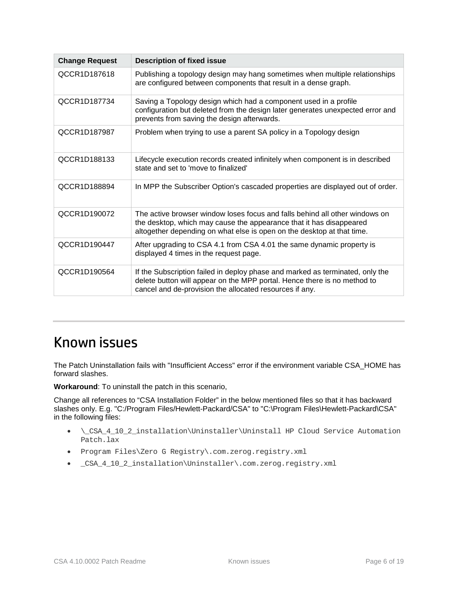| <b>Change Request</b> | <b>Description of fixed issue</b>                                                                                                                                                                                            |  |  |  |  |  |
|-----------------------|------------------------------------------------------------------------------------------------------------------------------------------------------------------------------------------------------------------------------|--|--|--|--|--|
| QCCR1D187618          | Publishing a topology design may hang sometimes when multiple relationships<br>are configured between components that result in a dense graph.                                                                               |  |  |  |  |  |
| QCCR1D187734          | Saving a Topology design which had a component used in a profile<br>configuration but deleted from the design later generates unexpected error and<br>prevents from saving the design afterwards.                            |  |  |  |  |  |
| QCCR1D187987          | Problem when trying to use a parent SA policy in a Topology design                                                                                                                                                           |  |  |  |  |  |
| QCCR1D188133          | Lifecycle execution records created infinitely when component is in described<br>state and set to 'move to finalized'                                                                                                        |  |  |  |  |  |
| QCCR1D188894          | In MPP the Subscriber Option's cascaded properties are displayed out of order.                                                                                                                                               |  |  |  |  |  |
| QCCR1D190072          | The active browser window loses focus and falls behind all other windows on<br>the desktop, which may cause the appearance that it has disappeared<br>altogether depending on what else is open on the desktop at that time. |  |  |  |  |  |
| QCCR1D190447          | After upgrading to CSA 4.1 from CSA 4.01 the same dynamic property is<br>displayed 4 times in the request page.                                                                                                              |  |  |  |  |  |
| QCCR1D190564          | If the Subscription failed in deploy phase and marked as terminated, only the<br>delete button will appear on the MPP portal. Hence there is no method to<br>cancel and de-provision the allocated resources if any.         |  |  |  |  |  |

## <span id="page-5-0"></span>Known issues

The Patch Uninstallation fails with "Insufficient Access" error if the environment variable CSA\_HOME has forward slashes.

**Workaround**: To uninstall the patch in this scenario,

Change all references to "CSA Installation Folder" in the below mentioned files so that it has backward slashes only. E.g. "C:/Program Files/Hewlett-Packard/CSA" to "C:\Program Files\Hewlett-Packard\CSA" in the following files:

- \\_CSA\_4\_10\_2\_installation\Uninstaller\Uninstall HP Cloud Service Automation Patch.lax
- Program Files\Zero G Registry\.com.zerog.registry.xml
- \_CSA\_4\_10\_2\_installation\Uninstaller\.com.zerog.registry.xml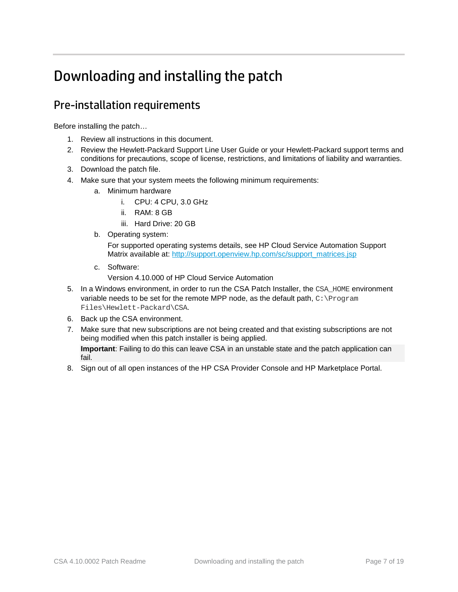## <span id="page-6-0"></span>Downloading and installing the patch

### <span id="page-6-1"></span>Pre-installation requirements

Before installing the patch…

- 1. Review all instructions in this document.
- 2. Review the Hewlett-Packard Support Line User Guide or your Hewlett-Packard support terms and conditions for precautions, scope of license, restrictions, and limitations of liability and warranties.
- 3. Download the patch file.
- 4. Make sure that your system meets the following minimum requirements:
	- a. Minimum hardware
		- i. CPU: 4 CPU, 3.0 GHz
		- ii. RAM: 8 GB
		- iii. Hard Drive: 20 GB
	- b. Operating system:

For supported operating systems details, see HP Cloud Service Automation Support Matrix available at: [http://support.openview.hp.com/sc/support\\_matrices.jsp](http://support.openview.hp.com/sc/support_matrices.jsp)

c. Software:

Version 4.10.000 of HP Cloud Service Automation

- 5. In a Windows environment, in order to run the CSA Patch Installer, the CSA HOME environment variable needs to be set for the remote MPP node, as the default path, C: \Program Files\Hewlett-Packard\CSA.
- 6. Back up the CSA environment.
- 7. Make sure that new subscriptions are not being created and that existing subscriptions are not being modified when this patch installer is being applied.

**Important**: Failing to do this can leave CSA in an unstable state and the patch application can fail.

8. Sign out of all open instances of the HP CSA Provider Console and HP Marketplace Portal.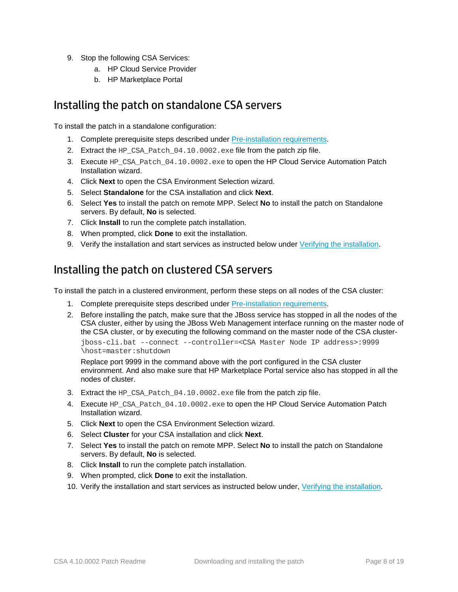- 9. Stop the following CSA Services:
	- a. HP Cloud Service Provider
	- b. HP Marketplace Portal

#### Installing the patch on standalone CSA servers

To install the patch in a standalone configuration:

- 1. Complete prerequisite steps described under [Pre-installation requirements.](#page-6-1)
- 2. Extract the HP\_CSA\_Patch\_04.10.0002.exe file from the patch zip file.
- 3. Execute HP\_CSA\_Patch\_04.10.0002.exe to open the HP Cloud Service Automation Patch Installation wizard.
- 4. Click **Next** to open the CSA Environment Selection wizard.
- 5. Select **Standalone** for the CSA installation and click **Next**.
- 6. Select **Yes** to install the patch on remote MPP. Select **No** to install the patch on Standalone servers. By default, **No** is selected.
- 7. Click **Install** to run the complete patch installation.
- 8. When prompted, click **Done** to exit the installation.
- 9. Verify the installation and start services as instructed below under [Verifying the installation.](#page-8-2)

#### Installing the patch on clustered CSA servers

To install the patch in a clustered environment, perform these steps on all nodes of the CSA cluster:

- 1. Complete prerequisite steps described under [Pre-installation requirements.](#page-1-0)
- 2. Before installing the patch, make sure that the JBoss service has stopped in all the nodes of the CSA cluster, either by using the JBoss Web Management interface running on the master node of the CSA cluster, or by executing the following command on the master node of the CSA clusterjboss-cli.bat --connect --controller=<CSA Master Node IP address>:9999 \host=master:shutdown

Replace port 9999 in the command above with the port configured in the CSA cluster environment. And also make sure that HP Marketplace Portal service also has stopped in all the nodes of cluster.

- 3. Extract the HP\_CSA\_Patch\_04.10.0002.exe file from the patch zip file.
- 4. Execute HP\_CSA\_Patch\_04.10.0002.exe to open the HP Cloud Service Automation Patch Installation wizard.
- 5. Click **Next** to open the CSA Environment Selection wizard.
- 6. Select **Cluster** for your CSA installation and click **Next**.
- 7. Select **Yes** to install the patch on remote MPP. Select **No** to install the patch on Standalone servers. By default, **No** is selected.
- 8. Click **Install** to run the complete patch installation.
- 9. When prompted, click **Done** to exit the installation.
- 10. Verify the installation and start services as instructed below under, [Verifying the installation.](#page-8-2)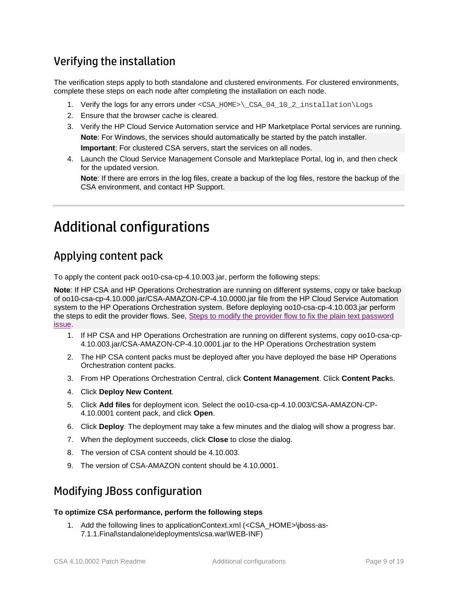### <span id="page-8-2"></span>Verifying the installation

The verification steps apply to both standalone and clustered environments. For clustered environments, complete these steps on each node after completing the installation on each node.

- 1. Verify the logs for any errors under <CSA\_HOME>\CSA\_04\_10\_2\_installation\Logs
- 2. Ensure that the browser cache is cleared.
- 3. Verify the HP Cloud Service Automation service and HP Marketplace Portal services are running. **Note**: For Windows, the services should automatically be started by the patch installer. **Important**: For clustered CSA servers, start the services on all nodes.
- 4. Launch the Cloud Service Management Console and Markteplace Portal, log in, and then check for the updated version.

**Note**: If there are errors in the log files, create a backup of the log files, restore the backup of the CSA environment, and contact HP Support.

## <span id="page-8-0"></span>Additional configurations

### <span id="page-8-1"></span>Applying content pack

To apply the content pack oo10-csa-cp-4.10.003.jar, perform the following steps:

**Note**: If HP CSA and HP Operations Orchestration are running on different systems, copy or take backup of oo10-csa-cp-4.10.000.jar/CSA-AMAZON-CP-4.10.0000.jar file from the HP Cloud Service Automation system to the HP Operations Orchestration system. Before deploying oo10-csa-cp-4.10.003.jar perform the steps to edit the provider flows. See, [Steps to modify the provider flow to fix the plain text password](#page-13-1)  [issue.](#page-13-1)

- 1. If HP CSA and HP Operations Orchestration are running on different systems, copy oo10-csa-cp-4.10.003.jar/CSA-AMAZON-CP-4.10.0001.jar to the HP Operations Orchestration system
- 2. The HP CSA content packs must be deployed after you have deployed the base HP Operations Orchestration content packs.
- 3. From HP Operations Orchestration Central, click **Content Management**. Click **Content Pack**s.
- 4. Click **Deploy New Content**.
- 5. Click **Add files** for deployment icon. Select the oo10-csa-cp-4.10.003/CSA-AMAZON-CP-4.10.0001 content pack, and click **Open**.
- 6. Click **Deploy**. The deployment may take a few minutes and the dialog will show a progress bar.
- 7. When the deployment succeeds, click **Close** to close the dialog.
- 8. The version of CSA content should be 4.10.003.
- 9. The version of CSA-AMAZON content should be 4.10.0001.

#### Modifying JBoss configuration

#### **To optimize CSA performance, perform the following steps**

1. Add the following lines to applicationContext.xml (<CSA\_HOME>\jboss-as-7.1.1.Final\standalone\deployments\csa.war\WEB-INF)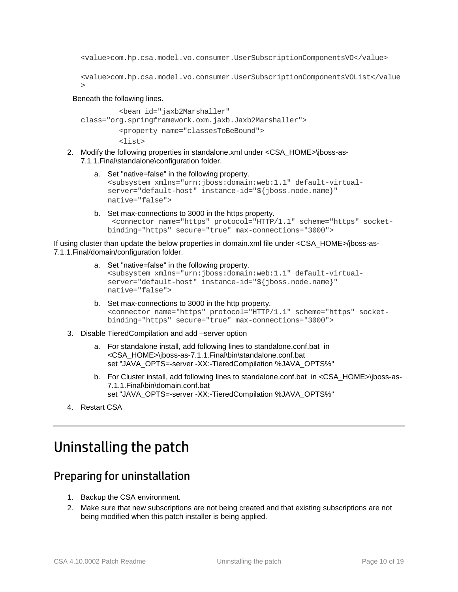<value>com.hp.csa.model.vo.consumer.UserSubscriptionComponentsVO</value>

```
<value>com.hp.csa.model.vo.consumer.UserSubscriptionComponentsVOList</value
>
```
Beneath the following lines.

```
 <bean id="jaxb2Marshaller" 
class="org.springframework.oxm.jaxb.Jaxb2Marshaller">
          <property name="classesToBeBound">
          <list>
```
- 2. Modify the following properties in standalone.xml under <CSA\_HOME>\jboss-as-7.1.1.Final\standalone\configuration folder.
	- a. Set "native=false" in the following property. <subsystem xmlns="urn:jboss:domain:web:1.1" default-virtualserver="default-host" instance-id="\${jboss.node.name}" native="false">
	- b. Set max-connections to 3000 in the https property. <connector name="https" protocol="HTTP/1.1" scheme="https" socketbinding="https" secure="true" max-connections="3000">

If using cluster than update the below properties in domain.xml file under <CSA\_HOME>/jboss-as-7.1.1.Final/domain/configuration folder.

- a. Set "native=false" in the following property. <subsystem xmlns="urn:jboss:domain:web:1.1" default-virtualserver="default-host" instance-id="\${jboss.node.name}" native="false">
- b. Set max-connections to 3000 in the http property. <connector name="https" protocol="HTTP/1.1" scheme="https" socketbinding="https" secure="true" max-connections="3000">
- 3. Disable TieredCompilation and add –server option
	- a. For standalone install, add following lines to standalone.conf.bat in <CSA\_HOME>\jboss-as-7.1.1.Final\bin\standalone.conf.bat set "JAVA\_OPTS=-server -XX:-TieredCompilation %JAVA\_OPTS%"
	- b. For Cluster install, add following lines to standalone.conf.bat in <CSA\_HOME>\jboss-as-7.1.1.Final\bin\domain.conf.bat set "JAVA\_OPTS=-server -XX:-TieredCompilation %JAVA\_OPTS%"
- <span id="page-9-0"></span>4. Restart CSA

### Uninstalling the patch

#### <span id="page-9-1"></span>Preparing for uninstallation

- 1. Backup the CSA environment.
- 2. Make sure that new subscriptions are not being created and that existing subscriptions are not being modified when this patch installer is being applied.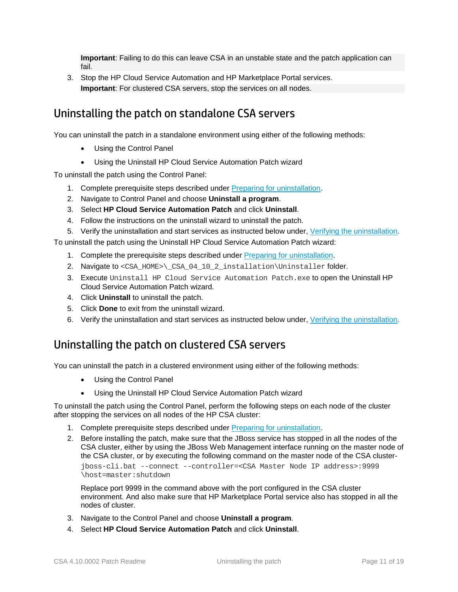**Important**: Failing to do this can leave CSA in an unstable state and the patch application can fail.

3. Stop the HP Cloud Service Automation and HP Marketplace Portal services. **Important**: For clustered CSA servers, stop the services on all nodes.

### Uninstalling the patch on standalone CSA servers

You can uninstall the patch in a standalone environment using either of the following methods:

- Using the Control Panel
- Using the Uninstall HP Cloud Service Automation Patch wizard

To uninstall the patch using the Control Panel:

- 1. Complete prerequisite steps described under [Preparing for uninstallation.](#page-9-1)
- 2. Navigate to Control Panel and choose **Uninstall a program**.
- 3. Select **HP Cloud Service Automation Patch** and click **Uninstall**.
- 4. Follow the instructions on the uninstall wizard to uninstall the patch.
- 5. Verify the uninstallation and start services as instructed below under, [Verifying the uninstallation.](#page-11-1)

To uninstall the patch using the Uninstall HP Cloud Service Automation Patch wizard:

- 1. Complete the prerequisite steps described under [Preparing for uninstallation.](#page-9-1)
- 2. Navigate to <CSA\_HOME>\\_CSA\_04\_10\_2\_installation\Uninstaller folder.
- 3. Execute Uninstall HP Cloud Service Automation Patch.exe to open the Uninstall HP Cloud Service Automation Patch wizard.
- 4. Click **Uninstall** to uninstall the patch.
- 5. Click **Done** to exit from the uninstall wizard.
- 6. Verify the uninstallation and start services as instructed below under, [Verifying the uninstallation.](#page-11-1)

#### <span id="page-10-0"></span>Uninstalling the patch on clustered CSA servers

You can uninstall the patch in a clustered environment using either of the following methods:

- Using the Control Panel
- Using the Uninstall HP Cloud Service Automation Patch wizard

To uninstall the patch using the Control Panel, perform the following steps on each node of the cluster after stopping the services on all nodes of the HP CSA cluster:

- 1. Complete prerequisite steps described under [Preparing for uninstallation.](#page-9-1)
- 2. Before installing the patch, make sure that the JBoss service has stopped in all the nodes of the CSA cluster, either by using the JBoss Web Management interface running on the master node of the CSA cluster, or by executing the following command on the master node of the CSA clusterjboss-cli.bat --connect --controller=<CSA Master Node IP address>:9999 \host=master:shutdown

Replace port 9999 in the command above with the port configured in the CSA cluster environment. And also make sure that HP Marketplace Portal service also has stopped in all the nodes of cluster.

- 3. Navigate to the Control Panel and choose **Uninstall a program**.
- 4. Select **HP Cloud Service Automation Patch** and click **Uninstall**.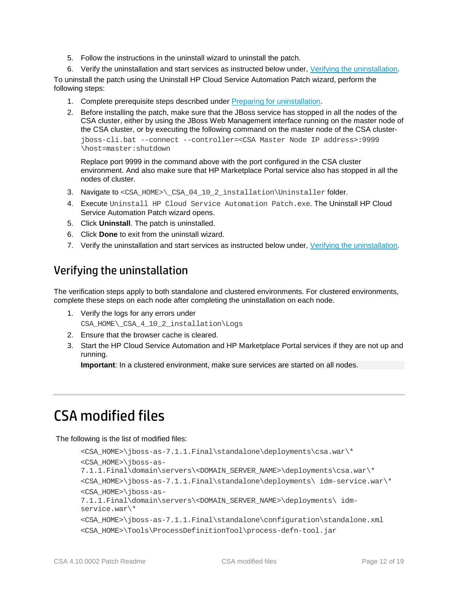- 5. Follow the instructions in the uninstall wizard to uninstall the patch.
- 6. Verify the uninstallation and start services as instructed below under, [Verifying the uninstallation.](#page-10-0)

To uninstall the patch using the Uninstall HP Cloud Service Automation Patch wizard, perform the following steps:

- 1. Complete prerequisite steps described under [Preparing for uninstallation.](#page-9-1)
- 2. Before installing the patch, make sure that the JBoss service has stopped in all the nodes of the CSA cluster, either by using the JBoss Web Management interface running on the master node of the CSA cluster, or by executing the following command on the master node of the CSA clusterjboss-cli.bat --connect --controller=<CSA Master Node IP address>:9999 \host=master:shutdown

Replace port 9999 in the command above with the port configured in the CSA cluster environment. And also make sure that HP Marketplace Portal service also has stopped in all the nodes of cluster.

- 3. Navigate to <CSA\_HOME>\\_CSA\_04\_10\_2\_installation\Uninstaller folder.
- 4. Execute Uninstall HP Cloud Service Automation Patch.exe. The Uninstall HP Cloud Service Automation Patch wizard opens.
- 5. Click **Uninstall**. The patch is uninstalled.
- 6. Click **Done** to exit from the uninstall wizard.
- 7. Verify the uninstallation and start services as instructed below under, [Verifying the uninstallation.](#page-10-0)

#### <span id="page-11-1"></span>Verifying the uninstallation

The verification steps apply to both standalone and clustered environments. For clustered environments, complete these steps on each node after completing the uninstallation on each node.

- 1. Verify the logs for any errors under CSA\_HOME\ CSA\_4\_10\_2\_installation\Logs
- 2. Ensure that the browser cache is cleared.
- 3. Start the HP Cloud Service Automation and HP Marketplace Portal services if they are not up and running.

**Important**: In a clustered environment, make sure services are started on all nodes.

## <span id="page-11-0"></span>CSA modified files

The following is the list of modified files:

```
<CSA_HOME>\jboss-as-7.1.1.Final\standalone\deployments\csa.war\*
<CSA_HOME>\jboss-as-
7.1.1.Final\domain\servers\<DOMAIN_SERVER_NAME>\deployments\csa.war\*
<CSA_HOME>\jboss-as-7.1.1.Final\standalone\deployments\ idm-service.war\*
<CSA_HOME>\jboss-as-
7.1.1.Final\domain\servers\<DOMAIN_SERVER_NAME>\deployments\ idm-
service.war\*
<CSA_HOME>\jboss-as-7.1.1.Final\standalone\configuration\standalone.xml
<CSA_HOME>\Tools\ProcessDefinitionTool\process-defn-tool.jar
```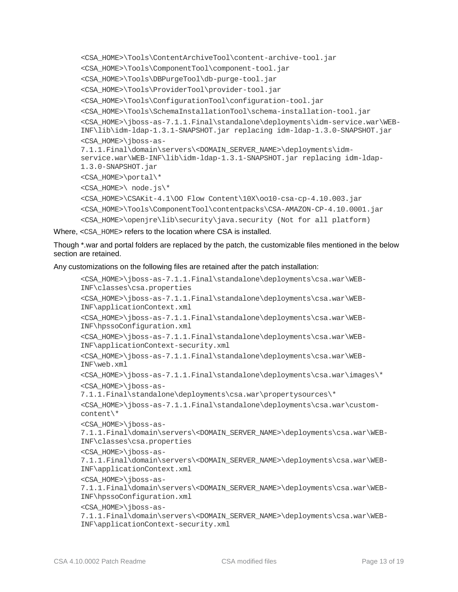```
<CSA_HOME>\Tools\ContentArchiveTool\content-archive-tool.jar
<CSA_HOME>\Tools\ComponentTool\component-tool.jar
<CSA_HOME>\Tools\DBPurgeTool\db-purge-tool.jar
<CSA_HOME>\Tools\ProviderTool\provider-tool.jar
<CSA_HOME>\Tools\ConfigurationTool\configuration-tool.jar
<CSA_HOME>\Tools\SchemaInstallationTool\schema-installation-tool.jar
<CSA_HOME>\jboss-as-7.1.1.Final\standalone\deployments\idm-service.war\WEB-
INF\lib\idm-ldap-1.3.1-SNAPSHOT.jar replacing idm-ldap-1.3.0-SNAPSHOT.jar
<CSA_HOME>\jboss-as-
7.1.1.Final\domain\servers\<DOMAIN_SERVER_NAME>\deployments\idm-
service.war\WEB-INF\lib\idm-ldap-1.3.1-SNAPSHOT.jar replacing idm-ldap-
1.3.0-SNAPSHOT.jar
<CSA_HOME>\portal\*
<CSA_HOME>\ node.js\*
<CSA HOME>\CSAKit-4.1\0O Flow Content\10X\0010-csa-cp-4.10.003.jar<CSA_HOME>\Tools\ComponentTool\contentpacks\CSA-AMAZON-CP-4.10.0001.jar
<CSA_HOME>\openjre\lib\security\java.security (Not for all platform)
```
Where, <CSA\_HOME> refers to the location where CSA is installed.

Though \*.war and portal folders are replaced by the patch, the customizable files mentioned in the below section are retained.

Any customizations on the following files are retained after the patch installation:

```
<CSA_HOME>\jboss-as-7.1.1.Final\standalone\deployments\csa.war\WEB-
INF\classes\csa.properties 
<CSA_HOME>\jboss-as-7.1.1.Final\standalone\deployments\csa.war\WEB-
INF\applicationContext.xml
<CSA_HOME>\jboss-as-7.1.1.Final\standalone\deployments\csa.war\WEB-
INF\hpssoConfiguration.xml
<CSA_HOME>\jboss-as-7.1.1.Final\standalone\deployments\csa.war\WEB-
INF\applicationContext-security.xml
<CSA_HOME>\jboss-as-7.1.1.Final\standalone\deployments\csa.war\WEB-
INF\web.xml
<CSA_HOME>\jboss-as-7.1.1.Final\standalone\deployments\csa.war\images\*
<CSA_HOME>\jboss-as-
7.1.1.Final\standalone\deployments\csa.war\propertysources\*
<CSA_HOME>\jboss-as-7.1.1.Final\standalone\deployments\csa.war\custom-
content\*
<CSA_HOME>\jboss-as-
7.1.1.Final\domain\servers\<DOMAIN_SERVER_NAME>\deployments\csa.war\WEB-
INF\classes\csa.properties 
<CSA_HOME>\jboss-as-
7.1.1.Final\domain\servers\<DOMAIN_SERVER_NAME>\deployments\csa.war\WEB-
INF\applicationContext.xml
<CSA_HOME>\jboss-as-
7.1.1.Final\domain\servers\<DOMAIN_SERVER_NAME>\deployments\csa.war\WEB-
INF\hpssoConfiguration.xml
<CSA_HOME>\jboss-as-
7.1.1.Final\domain\servers\<DOMAIN_SERVER_NAME>\deployments\csa.war\WEB-
INF\applicationContext-security.xml
```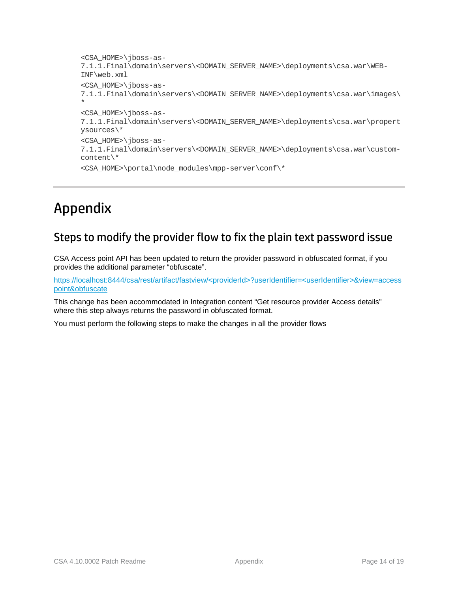```
<CSA_HOME>\jboss-as-
7.1.1.Final\domain\servers\<DOMAIN_SERVER_NAME>\deployments\csa.war\WEB-
INF\web.xml
<CSA_HOME>\jboss-as-
7.1.1.Final\domain\servers\<DOMAIN_SERVER_NAME>\deployments\csa.war\images\
*
<CSA_HOME>\jboss-as-
7.1.1.Final\domain\servers\<DOMAIN_SERVER_NAME>\deployments\csa.war\propert
ysources\*
<CSA_HOME>\jboss-as-
7.1.1.Final\domain\servers\<DOMAIN_SERVER_NAME>\deployments\csa.war\custom-
content\*
<CSA_HOME>\portal\node_modules\mpp-server\conf\*
```
## <span id="page-13-0"></span>Appendix

### <span id="page-13-1"></span>Steps to modify the provider flow to fix the plain text password issue

CSA Access point API has been updated to return the provider password in obfuscated format, if you provides the additional parameter "obfuscate".

[https://localhost:8444/csa/rest/artifact/fastview/<providerId>?userIdentifier=<userIdentifier>&view=access](https://localhost:8444/csa/rest/artifact/fastview/&obfuscate) [point&obfuscate](https://localhost:8444/csa/rest/artifact/fastview/&obfuscate)

This change has been accommodated in Integration content "Get resource provider Access details" where this step always returns the password in obfuscated format.

You must perform the following steps to make the changes in all the provider flows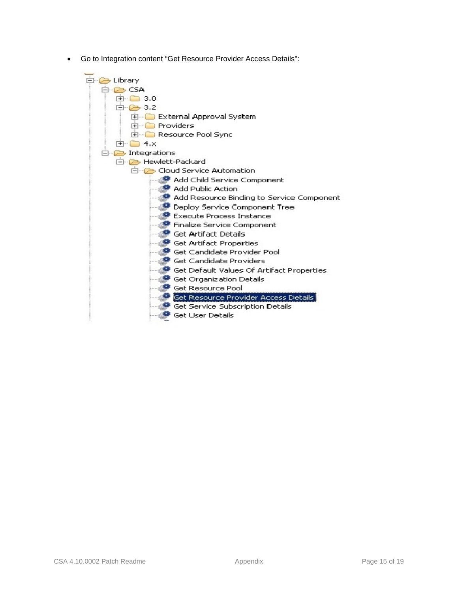• Go to Integration content "Get Resource Provider Access Details":

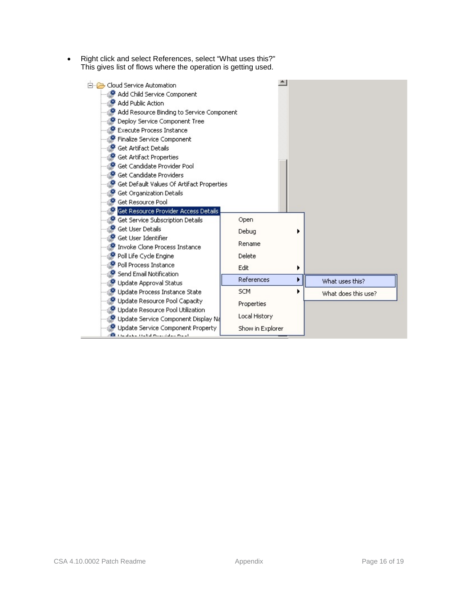• Right click and select References, select "What uses this?" This gives list of flows where the operation is getting used.

| 白 Cloud Service Automation<br>Add Child Service Component<br><sup>●</sup> Add Public Action<br>Add Resource Binding to Service Component |                  |   |                     |
|------------------------------------------------------------------------------------------------------------------------------------------|------------------|---|---------------------|
| Deploy Service Component Tree                                                                                                            |                  |   |                     |
| Execute Process Instance                                                                                                                 |                  |   |                     |
| Finalize Service Component                                                                                                               |                  |   |                     |
| Get Artifact Details                                                                                                                     |                  |   |                     |
| Get Artifact Properties                                                                                                                  |                  |   |                     |
| Get Candidate Provider Pool                                                                                                              |                  |   |                     |
| Get Candidate Providers                                                                                                                  |                  |   |                     |
| Get Default Values Of Artifact Properties                                                                                                |                  |   |                     |
| Get Organization Details<br>Get Resource Pool                                                                                            |                  |   |                     |
| Get Resource Provider Access Details                                                                                                     |                  |   |                     |
| Get Service Subscription Details                                                                                                         | Open             |   |                     |
| <sup>●</sup> Get User Details                                                                                                            |                  |   |                     |
| Get User Identifier                                                                                                                      | Debug            |   |                     |
| Invoke Clone Process Instance                                                                                                            | Rename           |   |                     |
| Poll Life Cycle Engine                                                                                                                   | Delete           |   |                     |
| Poll Process Instance                                                                                                                    |                  |   |                     |
| Send Email Notification                                                                                                                  | Edit             |   |                     |
| Update Approval Status                                                                                                                   | References       | ▶ | What uses this?     |
| Update Process Instance State                                                                                                            | <b>SCM</b>       |   | What does this use? |
| Update Resource Pool Capacity                                                                                                            | Properties       |   |                     |
| Update Resource Pool Utilization                                                                                                         |                  |   |                     |
| Update Service Component Display Na                                                                                                      | Local History    |   |                     |
| Update Service Component Property<br><b>Britannia Habitannia (n. 1</b>                                                                   | Show in Explorer |   |                     |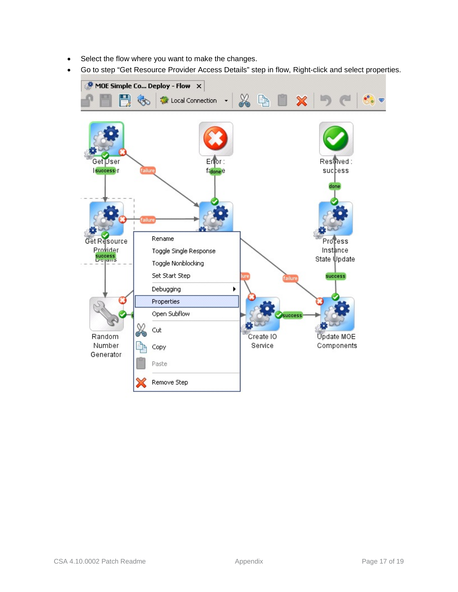- Select the flow where you want to make the changes.
- Go to step "Get Resource Provider Access Details" step in flow, Right-click and select properties.

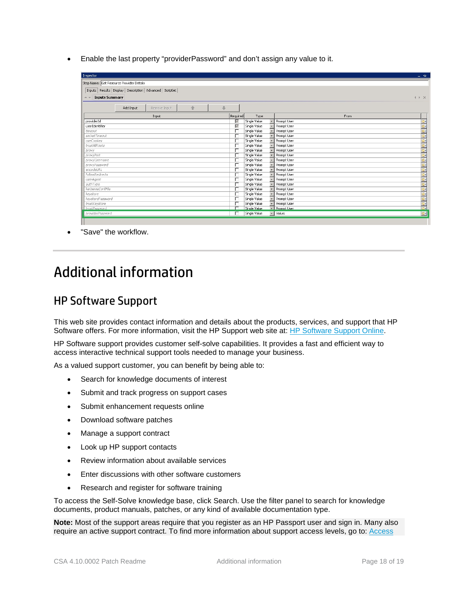• Enable the last property "providerPassword" and don't assign any value to it.

| Inspector                                |           |                                                               |   |   |                   |              |                                |             | $ +$                                   |
|------------------------------------------|-----------|---------------------------------------------------------------|---|---|-------------------|--------------|--------------------------------|-------------|----------------------------------------|
| Step Name: Get Resource Provider Details |           |                                                               |   |   |                   |              |                                |             |                                        |
|                                          |           | Inputs Results   Display   Description   Advanced   Scriptlet |   |   |                   |              |                                |             |                                        |
| <b>Inputs Summary</b><br>$\triangle$     |           |                                                               |   |   |                   |              |                                |             | 4   X                                  |
|                                          |           |                                                               |   |   |                   |              |                                |             |                                        |
|                                          | Add Input | Remove Input                                                  | 合 | 业 |                   |              |                                |             |                                        |
|                                          |           | Input                                                         |   |   | Required          | Type         |                                | <b>From</b> |                                        |
| providerId                               |           |                                                               |   |   | $\overline{\vee}$ | Single Value | Prompt User                    |             |                                        |
| userIdentifier                           |           |                                                               |   |   | $\overline{\vee}$ | Single Value | Prompt User                    |             |                                        |
| timeout                                  |           |                                                               |   |   | г                 | Single Value | Prompt User                    |             |                                        |
| socketTimeout                            |           |                                                               |   |   |                   | Single Value | Prompt User                    |             |                                        |
| useCookies                               |           |                                                               |   |   |                   | Single Value | Prompt User                    |             |                                        |
| trustAllRoots                            |           |                                                               |   |   |                   | Single Value | Prompt User                    |             |                                        |
| proxy                                    |           |                                                               |   |   |                   | Single Value | Prompt User                    |             |                                        |
| proxyPort                                |           |                                                               |   |   | г                 | Single Value | Prompt User                    |             |                                        |
| proxyUsername                            |           |                                                               |   |   |                   | Single Value | Prompt User                    |             |                                        |
| proxyPassword                            |           |                                                               |   |   |                   | Single Value | Prompt User                    |             |                                        |
| encodeLIRL                               |           |                                                               |   |   |                   | Single Value | Prompt User                    |             |                                        |
| <b>FollowRedirects</b>                   |           |                                                               |   |   |                   | Single Value | Prompt User                    |             |                                        |
| userAgent                                |           |                                                               |   |   |                   | Single Value | Prompt User                    |             |                                        |
| authType                                 |           |                                                               |   |   |                   | Single Value | Prompt User                    |             |                                        |
| kerberosConfFile                         |           |                                                               |   |   |                   | Single Value | Prompt User                    |             |                                        |
| keystore                                 |           |                                                               |   |   |                   | Single Value | Prompt User                    |             |                                        |
| keystorePassword                         |           |                                                               |   |   |                   | Single Value | Prompt User                    |             | <b>THE PERSON SERVES SERVES SERVES</b> |
| trustKeystore                            |           |                                                               |   |   |                   | Single Value | Prompt User                    |             |                                        |
| trustPassword                            |           |                                                               |   |   | ┍                 | Single Value | - Prompt User                  |             |                                        |
| providerPassword                         |           |                                                               |   |   | г                 | Single Value | $\blacktriangleright$   Value: |             | 國                                      |

<span id="page-17-0"></span>"Save" the workflow.

## Additional information

### HP Software Support

This web site provides contact information and details about the products, services, and support that HP Software offers. For more information, visit the HP Support web site at: [HP Software Support Online.](https://softwaresupport.hp.com/)

HP Software support provides customer self-solve capabilities. It provides a fast and efficient way to access interactive technical support tools needed to manage your business.

As a valued support customer, you can benefit by being able to:

- Search for knowledge documents of interest
- Submit and track progress on support cases
- Submit enhancement requests online
- Download software patches
- Manage a support contract
- Look up HP support contacts
- Review information about available services
- Enter discussions with other software customers
- Research and register for software training

To access the Self-Solve knowledge base, click Search. Use the filter panel to search for knowledge documents, product manuals, patches, or any kind of available documentation type.

**Note:** Most of the support areas require that you register as an HP Passport user and sign in. Many also require an active support contract. To find more information about support access levels, go to: [Access](https://softwaresupport.hp.com/web/softwaresupport/access-levels)